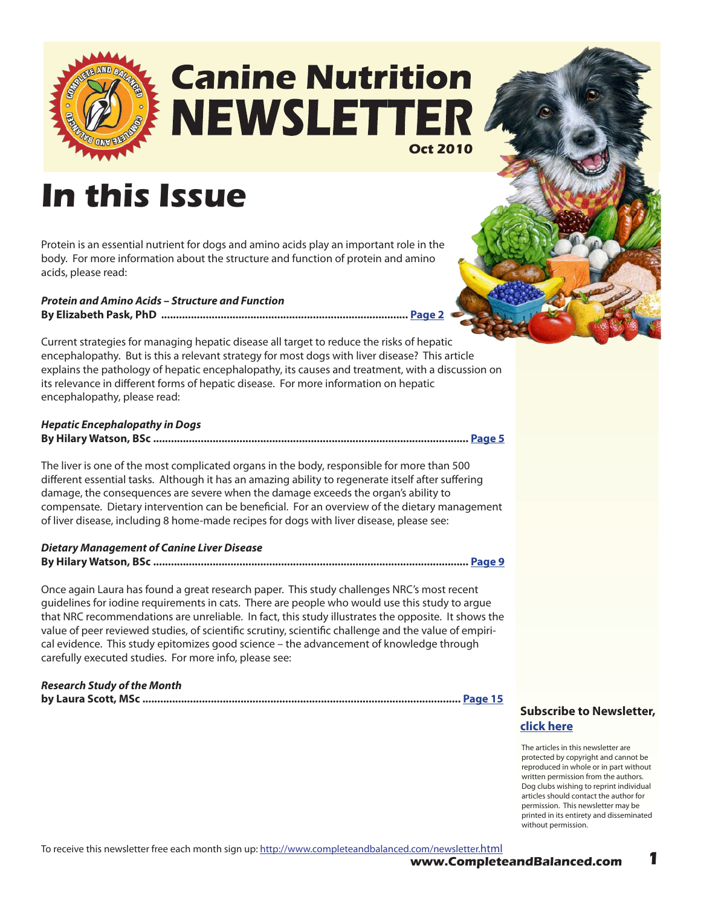

# **Canine Nutrition NEWSLETTER Oct 2010**

# **In this Issue**

Protein is an essential nutrient for dogs and amino acids play an important role in the body. For more information about the structure and function of protein and amino acids, please read:

*Protein and Amino Acids – Structure and Function* **By Elizabeth Pask, PhD ................................................................................... [Page 2](#page-1-0)**

Current strategies for managing hepatic disease all target to reduce the risks of hepatic encephalopathy. But is this a relevant strategy for most dogs with liver disease? This article explains the pathology of hepatic encephalopathy, its causes and treatment, with a discussion on its relevance in different forms of hepatic disease. For more information on hepatic encephalopathy, please read:

#### *Hepatic Encephalopathy in Dogs*

|--|--|--|--|--|--|

The liver is one of the most complicated organs in the body, responsible for more than 500 different essential tasks. Although it has an amazing ability to regenerate itself after suffering damage, the consequences are severe when the damage exceeds the organ's ability to compensate. Dietary intervention can be beneficial. For an overview of the dietary management of liver disease, including 8 home-made recipes for dogs with liver disease, please see:

*Dietary Management of Canine Liver Disease*  **By Hilary Watson, BSc .......................................................................................................... [Page 9](#page-8-0)**

Once again Laura has found a great research paper. This study challenges NRC's most recent guidelines for iodine requirements in cats. There are people who would use this study to argue that NRC recommendations are unreliable. In fact, this study illustrates the opposite. It shows the value of peer reviewed studies, of scientific scrutiny, scientific challenge and the value of empirical evidence. This study epitomizes good science – the advancement of knowledge through carefully executed studies. For more info, please see:

*Research Study of the Month* **by Laura Scott, MSc ........................................................................................................... [Page 1](#page-14-0)5**

**[Subscribe to Newsletter,](http://ymlp.com/signup.php?id=geebeqbgmgh)  click here**

The articles in this newsletter are protected by copyright and cannot be reproduced in whole or in part without written permission from the authors. Dog clubs wishing to reprint individual articles should contact the author for permission. This newsletter may be printed in its entirety and disseminated without permission.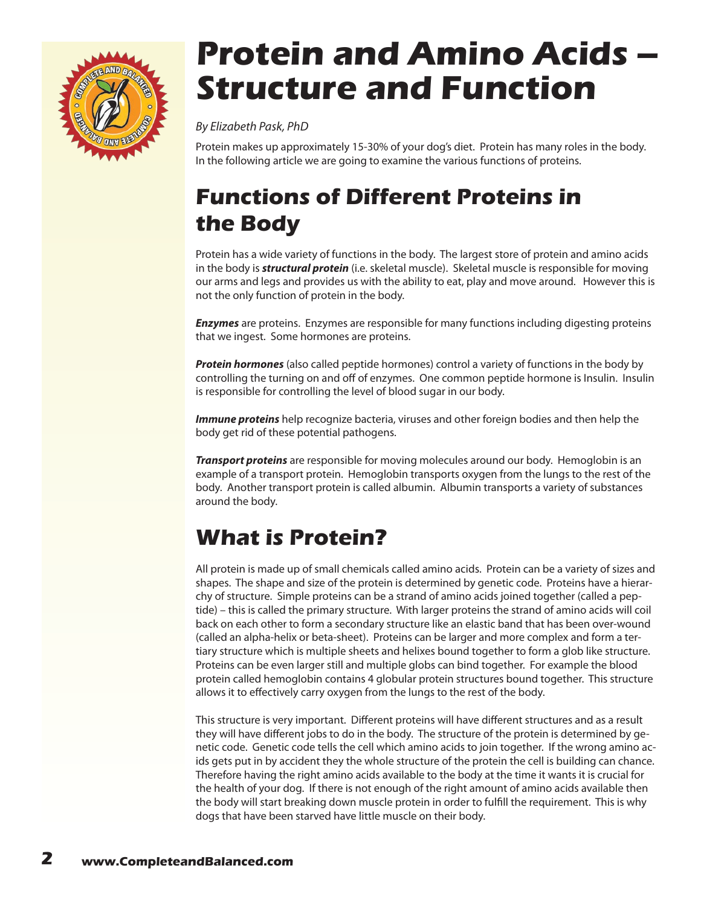<span id="page-1-0"></span>

# **Protein and Amino Acids – Structure and Function**

*By Elizabeth Pask, PhD*

Protein makes up approximately 15-30% of your dog's diet. Protein has many roles in the body. In the following article we are going to examine the various functions of proteins.

## **Functions of Different Proteins in the Body**

Protein has a wide variety of functions in the body. The largest store of protein and amino acids in the body is *structural protein* (i.e. skeletal muscle). Skeletal muscle is responsible for moving our arms and legs and provides us with the ability to eat, play and move around. However this is not the only function of protein in the body.

*Enzymes* are proteins. Enzymes are responsible for many functions including digesting proteins that we ingest. Some hormones are proteins.

*Protein hormones* (also called peptide hormones) control a variety of functions in the body by controlling the turning on and off of enzymes. One common peptide hormone is Insulin. Insulin is responsible for controlling the level of blood sugar in our body.

*Immune proteins* help recognize bacteria, viruses and other foreign bodies and then help the body get rid of these potential pathogens.

*Transport proteins* are responsible for moving molecules around our body. Hemoglobin is an example of a transport protein. Hemoglobin transports oxygen from the lungs to the rest of the body. Another transport protein is called albumin. Albumin transports a variety of substances around the body.

### **What is Protein?**

All protein is made up of small chemicals called amino acids. Protein can be a variety of sizes and shapes. The shape and size of the protein is determined by genetic code. Proteins have a hierarchy of structure. Simple proteins can be a strand of amino acids joined together (called a peptide) – this is called the primary structure. With larger proteins the strand of amino acids will coil back on each other to form a secondary structure like an elastic band that has been over-wound (called an alpha-helix or beta-sheet). Proteins can be larger and more complex and form a tertiary structure which is multiple sheets and helixes bound together to form a glob like structure. Proteins can be even larger still and multiple globs can bind together. For example the blood protein called hemoglobin contains 4 globular protein structures bound together. This structure allows it to effectively carry oxygen from the lungs to the rest of the body.

This structure is very important. Different proteins will have different structures and as a result they will have different jobs to do in the body. The structure of the protein is determined by genetic code. Genetic code tells the cell which amino acids to join together. If the wrong amino acids gets put in by accident they the whole structure of the protein the cell is building can chance. Therefore having the right amino acids available to the body at the time it wants it is crucial for the health of your dog. If there is not enough of the right amount of amino acids available then the body will start breaking down muscle protein in order to fulfill the requirement. This is why dogs that have been starved have little muscle on their body.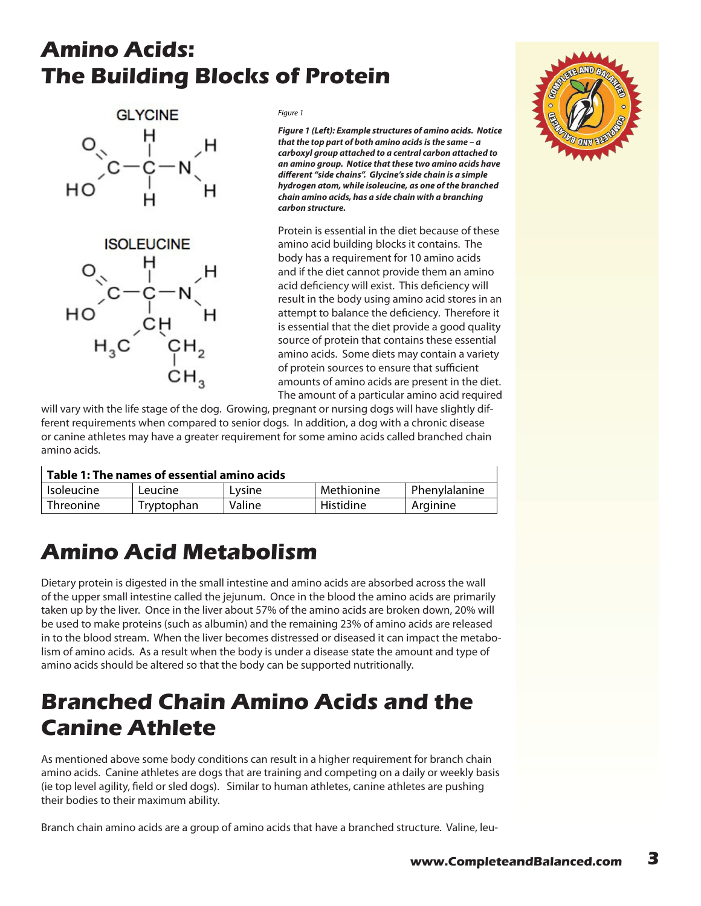#### **Amino Acids: The Building Blocks of Protein**



*Figure 1*

*Figure 1 (Left): Example structures of amino acids. Notice that the top part of both amino acids is the same – a carboxyl group attached to a central carbon attached to an amino group. Notice that these two amino acids have different "side chains". Glycine's side chain is a simple hydrogen atom, while isoleucine, as one of the branched chain amino acids, has a side chain with a branching carbon structure.* 

Protein is essential in the diet because of these amino acid building blocks it contains. The body has a requirement for 10 amino acids and if the diet cannot provide them an amino acid deficiency will exist. This deficiency will result in the body using amino acid stores in an attempt to balance the deficiency. Therefore it is essential that the diet provide a good quality source of protein that contains these essential amino acids. Some diets may contain a variety of protein sources to ensure that sufficient amounts of amino acids are present in the diet. The amount of a particular amino acid required

will vary with the life stage of the dog. Growing, pregnant or nursing dogs will have slightly different requirements when compared to senior dogs. In addition, a dog with a chronic disease or canine athletes may have a greater requirement for some amino acids called branched chain amino acids.

| Table 1: The names of essential amino acids |  |
|---------------------------------------------|--|
|---------------------------------------------|--|

| <b>Isoleucine</b> | Leucine    | Lysine | Methionine | Phenylalanine |
|-------------------|------------|--------|------------|---------------|
| Threonine         | Tryptophan | Valine | Histidine  | Arginine      |

#### **Amino Acid Metabolism**

Dietary protein is digested in the small intestine and amino acids are absorbed across the wall of the upper small intestine called the jejunum. Once in the blood the amino acids are primarily taken up by the liver. Once in the liver about 57% of the amino acids are broken down, 20% will be used to make proteins (such as albumin) and the remaining 23% of amino acids are released in to the blood stream. When the liver becomes distressed or diseased it can impact the metabolism of amino acids. As a result when the body is under a disease state the amount and type of amino acids should be altered so that the body can be supported nutritionally.

#### **Branched Chain Amino Acids and the Canine Athlete**

As mentioned above some body conditions can result in a higher requirement for branch chain amino acids. Canine athletes are dogs that are training and competing on a daily or weekly basis (ie top level agility, field or sled dogs). Similar to human athletes, canine athletes are pushing their bodies to their maximum ability.

Branch chain amino acids are a group of amino acids that have a branched structure. Valine, leu-

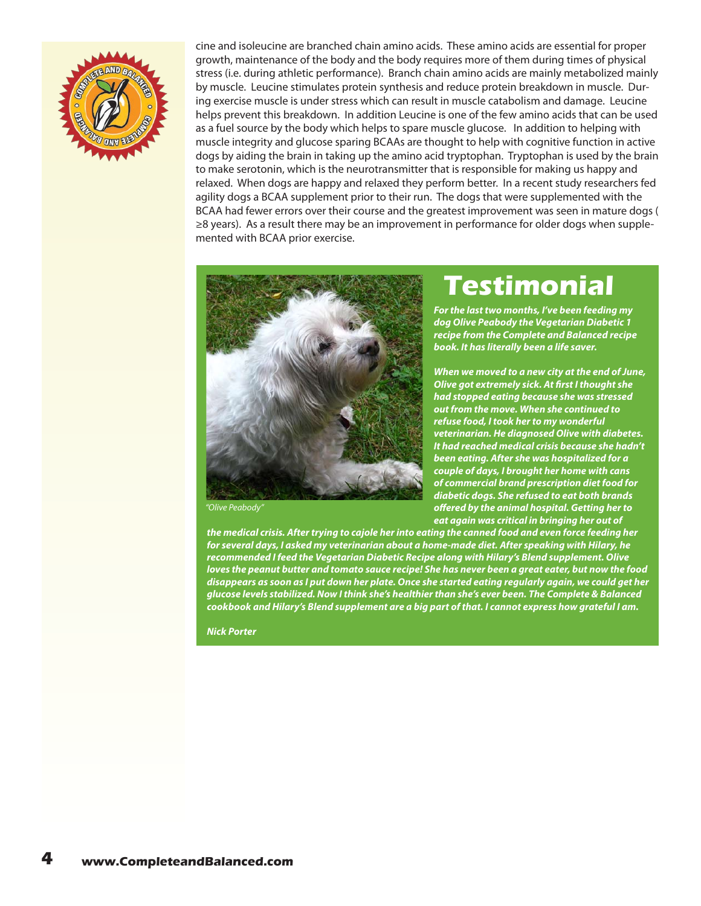

cine and isoleucine are branched chain amino acids. These amino acids are essential for proper growth, maintenance of the body and the body requires more of them during times of physical stress (i.e. during athletic performance). Branch chain amino acids are mainly metabolized mainly by muscle. Leucine stimulates protein synthesis and reduce protein breakdown in muscle. During exercise muscle is under stress which can result in muscle catabolism and damage. Leucine helps prevent this breakdown. In addition Leucine is one of the few amino acids that can be used as a fuel source by the body which helps to spare muscle glucose. In addition to helping with muscle integrity and glucose sparing BCAAs are thought to help with cognitive function in active dogs by aiding the brain in taking up the amino acid tryptophan. Tryptophan is used by the brain to make serotonin, which is the neurotransmitter that is responsible for making us happy and relaxed. When dogs are happy and relaxed they perform better. In a recent study researchers fed agility dogs a BCAA supplement prior to their run. The dogs that were supplemented with the BCAA had fewer errors over their course and the greatest improvement was seen in mature dogs ( ≥8 years). As a result there may be an improvement in performance for older dogs when supplemented with BCAA prior exercise.



*"Olive Peabody"*

## **Testimonial**

*For the last two months, I've been feeding my dog Olive Peabody the Vegetarian Diabetic 1 recipe from the Complete and Balanced recipe book. It has literally been a life saver.*

*When we moved to a new city at the end of June, Olive got extremely sick. At first I thought she had stopped eating because she was stressed out from the move. When she continued to refuse food, I took her to my wonderful veterinarian. He diagnosed Olive with diabetes. It had reached medical crisis because she hadn't been eating. After she was hospitalized for a couple of days, I brought her home with cans of commercial brand prescription diet food for diabetic dogs. She refused to eat both brands offered by the animal hospital. Getting her to eat again was critical in bringing her out of* 

*the medical crisis. After trying to cajole her into eating the canned food and even force feeding her for several days, I asked my veterinarian about a home-made diet. After speaking with Hilary, he recommended I feed the Vegetarian Diabetic Recipe along with Hilary's Blend supplement. Olive loves the peanut butter and tomato sauce recipe! She has never been a great eater, but now the food disappears as soon as I put down her plate. Once she started eating regularly again, we could get her glucose levels stabilized. Now I think she's healthier than she's ever been. The Complete & Balanced cookbook and Hilary's Blend supplement are a big part of that. I cannot express how grateful I am.*

*Nick Porter*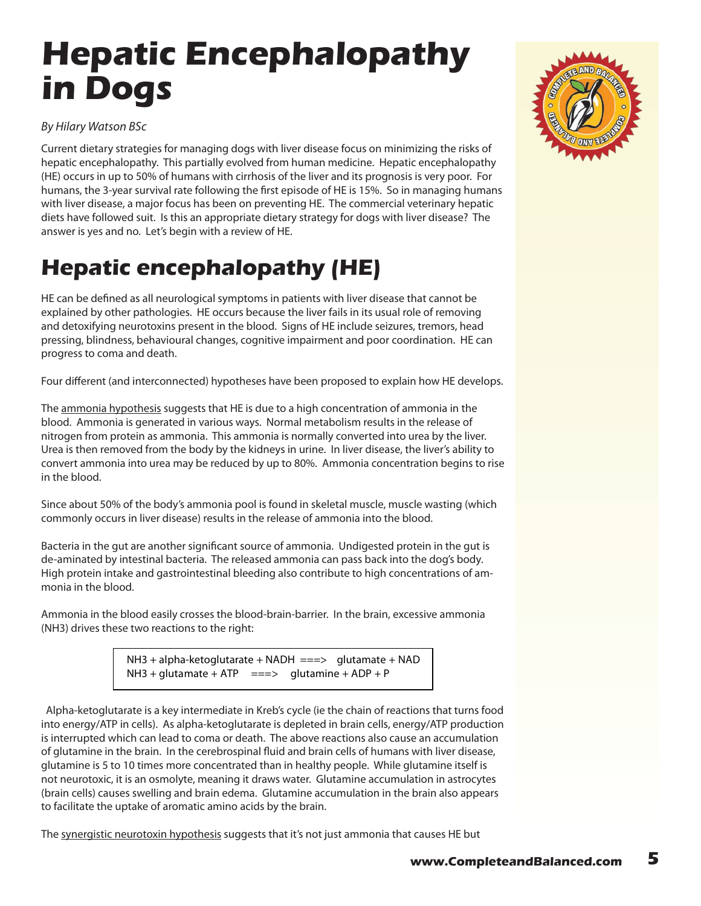# <span id="page-4-0"></span>**Hepatic Encephalopathy in Dogs**

#### *By Hilary Watson BSc*

Current dietary strategies for managing dogs with liver disease focus on minimizing the risks of hepatic encephalopathy. This partially evolved from human medicine. Hepatic encephalopathy (HE) occurs in up to 50% of humans with cirrhosis of the liver and its prognosis is very poor. For humans, the 3-year survival rate following the first episode of HE is 15%. So in managing humans with liver disease, a major focus has been on preventing HE. The commercial veterinary hepatic diets have followed suit. Is this an appropriate dietary strategy for dogs with liver disease? The answer is yes and no. Let's begin with a review of HE.

## **Hepatic encephalopathy (HE)**

HE can be defined as all neurological symptoms in patients with liver disease that cannot be explained by other pathologies. HE occurs because the liver fails in its usual role of removing and detoxifying neurotoxins present in the blood. Signs of HE include seizures, tremors, head pressing, blindness, behavioural changes, cognitive impairment and poor coordination. HE can progress to coma and death.

Four different (and interconnected) hypotheses have been proposed to explain how HE develops.

The ammonia hypothesis suggests that HE is due to a high concentration of ammonia in the blood. Ammonia is generated in various ways. Normal metabolism results in the release of nitrogen from protein as ammonia. This ammonia is normally converted into urea by the liver. Urea is then removed from the body by the kidneys in urine. In liver disease, the liver's ability to convert ammonia into urea may be reduced by up to 80%. Ammonia concentration begins to rise in the blood.

Since about 50% of the body's ammonia pool is found in skeletal muscle, muscle wasting (which commonly occurs in liver disease) results in the release of ammonia into the blood.

Bacteria in the gut are another significant source of ammonia. Undigested protein in the gut is de-aminated by intestinal bacteria. The released ammonia can pass back into the dog's body. High protein intake and gastrointestinal bleeding also contribute to high concentrations of ammonia in the blood.

Ammonia in the blood easily crosses the blood-brain-barrier. In the brain, excessive ammonia (NH3) drives these two reactions to the right:

> $NH3 + alpha-ketoglutarate + NADH ==> glutamate + NAD$  $NH3 + glutamate + ATP$  ===> glutamine + ADP + P

 Alpha-ketoglutarate is a key intermediate in Kreb's cycle (ie the chain of reactions that turns food into energy/ATP in cells). As alpha-ketoglutarate is depleted in brain cells, energy/ATP production is interrupted which can lead to coma or death. The above reactions also cause an accumulation of glutamine in the brain. In the cerebrospinal fluid and brain cells of humans with liver disease, glutamine is 5 to 10 times more concentrated than in healthy people. While glutamine itself is not neurotoxic, it is an osmolyte, meaning it draws water. Glutamine accumulation in astrocytes (brain cells) causes swelling and brain edema. Glutamine accumulation in the brain also appears to facilitate the uptake of aromatic amino acids by the brain.

The synergistic neurotoxin hypothesis suggests that it's not just ammonia that causes HE but

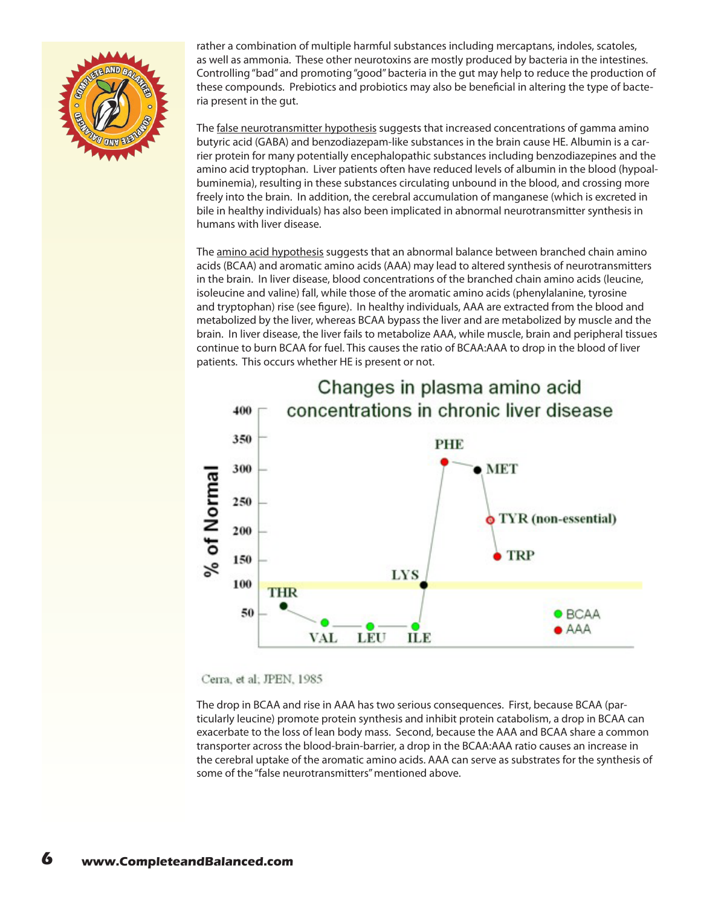

rather a combination of multiple harmful substances including mercaptans, indoles, scatoles, as well as ammonia. These other neurotoxins are mostly produced by bacteria in the intestines. Controlling "bad" and promoting "good" bacteria in the gut may help to reduce the production of these compounds. Prebiotics and probiotics may also be beneficial in altering the type of bacteria present in the gut.

The false neurotransmitter hypothesis suggests that increased concentrations of gamma amino butyric acid (GABA) and benzodiazepam-like substances in the brain cause HE. Albumin is a carrier protein for many potentially encephalopathic substances including benzodiazepines and the amino acid tryptophan. Liver patients often have reduced levels of albumin in the blood (hypoalbuminemia), resulting in these substances circulating unbound in the blood, and crossing more freely into the brain. In addition, the cerebral accumulation of manganese (which is excreted in bile in healthy individuals) has also been implicated in abnormal neurotransmitter synthesis in humans with liver disease.

The amino acid hypothesis suggests that an abnormal balance between branched chain amino acids (BCAA) and aromatic amino acids (AAA) may lead to altered synthesis of neurotransmitters in the brain. In liver disease, blood concentrations of the branched chain amino acids (leucine, isoleucine and valine) fall, while those of the aromatic amino acids (phenylalanine, tyrosine and tryptophan) rise (see figure). In healthy individuals, AAA are extracted from the blood and metabolized by the liver, whereas BCAA bypass the liver and are metabolized by muscle and the brain. In liver disease, the liver fails to metabolize AAA, while muscle, brain and peripheral tissues continue to burn BCAA for fuel. This causes the ratio of BCAA:AAA to drop in the blood of liver patients. This occurs whether HE is present or not.



Cerra, et al; JPEN, 1985

The drop in BCAA and rise in AAA has two serious consequences. First, because BCAA (particularly leucine) promote protein synthesis and inhibit protein catabolism, a drop in BCAA can exacerbate to the loss of lean body mass. Second, because the AAA and BCAA share a common transporter across the blood-brain-barrier, a drop in the BCAA:AAA ratio causes an increase in the cerebral uptake of the aromatic amino acids. AAA can serve as substrates for the synthesis of some of the "false neurotransmitters" mentioned above.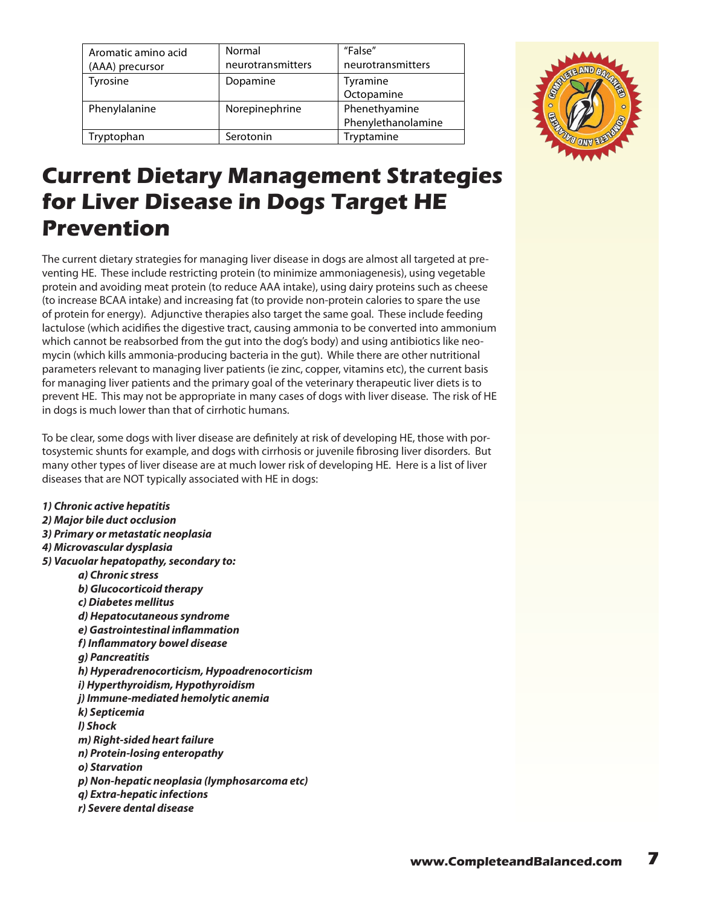| Aromatic amino acid | Normal            | "False"            |
|---------------------|-------------------|--------------------|
| (AAA) precursor     | neurotransmitters | neurotransmitters  |
| Tyrosine            | Dopamine          | Tyramine           |
|                     |                   | Octopamine         |
| Phenylalanine       | Norepinephrine    | Phenethyamine      |
|                     |                   | Phenylethanolamine |
| Tryptophan          | Serotonin         | Tryptamine         |



#### **Current Dietary Management Strategies for Liver Disease in Dogs Target HE Prevention**

The current dietary strategies for managing liver disease in dogs are almost all targeted at preventing HE. These include restricting protein (to minimize ammoniagenesis), using vegetable protein and avoiding meat protein (to reduce AAA intake), using dairy proteins such as cheese (to increase BCAA intake) and increasing fat (to provide non-protein calories to spare the use of protein for energy). Adjunctive therapies also target the same goal. These include feeding lactulose (which acidifies the digestive tract, causing ammonia to be converted into ammonium which cannot be reabsorbed from the gut into the dog's body) and using antibiotics like neomycin (which kills ammonia-producing bacteria in the gut). While there are other nutritional parameters relevant to managing liver patients (ie zinc, copper, vitamins etc), the current basis for managing liver patients and the primary goal of the veterinary therapeutic liver diets is to prevent HE. This may not be appropriate in many cases of dogs with liver disease. The risk of HE in dogs is much lower than that of cirrhotic humans.

To be clear, some dogs with liver disease are definitely at risk of developing HE, those with portosystemic shunts for example, and dogs with cirrhosis or juvenile fibrosing liver disorders. But many other types of liver disease are at much lower risk of developing HE. Here is a list of liver diseases that are NOT typically associated with HE in dogs:

*1) Chronic active hepatitis 2) Major bile duct occlusion 3) Primary or metastatic neoplasia 4) Microvascular dysplasia 5) Vacuolar hepatopathy, secondary to: a) Chronic stress b) Glucocorticoid therapy c) Diabetes mellitus d) Hepatocutaneous syndrome e) Gastrointestinal inflammation f) Inflammatory bowel disease g) Pancreatitis h) Hyperadrenocorticism, Hypoadrenocorticism i) Hyperthyroidism, Hypothyroidism j) Immune-mediated hemolytic anemia k) Septicemia l) Shock m) Right-sided heart failure n) Protein-losing enteropathy o) Starvation p) Non-hepatic neoplasia (lymphosarcoma etc) q) Extra-hepatic infections r) Severe dental disease*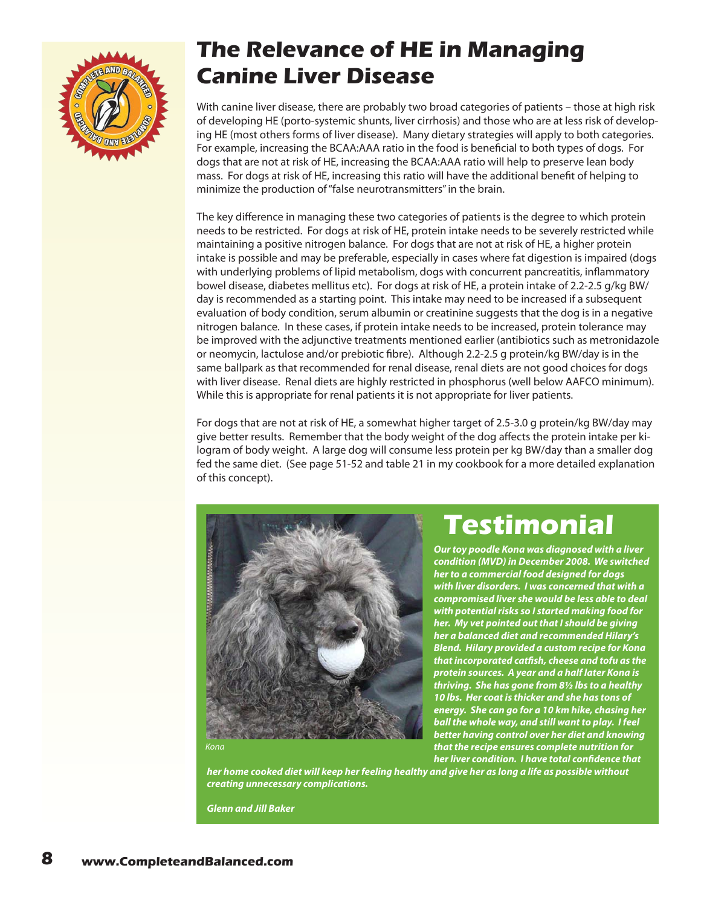

#### **The Relevance of HE in Managing Canine Liver Disease**

With canine liver disease, there are probably two broad categories of patients – those at high risk of developing HE (porto-systemic shunts, liver cirrhosis) and those who are at less risk of developing HE (most others forms of liver disease). Many dietary strategies will apply to both categories. For example, increasing the BCAA:AAA ratio in the food is beneficial to both types of dogs. For dogs that are not at risk of HE, increasing the BCAA:AAA ratio will help to preserve lean body mass. For dogs at risk of HE, increasing this ratio will have the additional benefit of helping to minimize the production of "false neurotransmitters" in the brain.

The key difference in managing these two categories of patients is the degree to which protein needs to be restricted. For dogs at risk of HE, protein intake needs to be severely restricted while maintaining a positive nitrogen balance. For dogs that are not at risk of HE, a higher protein intake is possible and may be preferable, especially in cases where fat digestion is impaired (dogs with underlying problems of lipid metabolism, dogs with concurrent pancreatitis, inflammatory bowel disease, diabetes mellitus etc). For dogs at risk of HE, a protein intake of 2.2-2.5 g/kg BW/ day is recommended as a starting point. This intake may need to be increased if a subsequent evaluation of body condition, serum albumin or creatinine suggests that the dog is in a negative nitrogen balance. In these cases, if protein intake needs to be increased, protein tolerance may be improved with the adjunctive treatments mentioned earlier (antibiotics such as metronidazole or neomycin, lactulose and/or prebiotic fibre). Although 2.2-2.5 g protein/kg BW/day is in the same ballpark as that recommended for renal disease, renal diets are not good choices for dogs with liver disease. Renal diets are highly restricted in phosphorus (well below AAFCO minimum). While this is appropriate for renal patients it is not appropriate for liver patients.

For dogs that are not at risk of HE, a somewhat higher target of 2.5-3.0 g protein/kg BW/day may give better results. Remember that the body weight of the dog affects the protein intake per kilogram of body weight. A large dog will consume less protein per kg BW/day than a smaller dog fed the same diet. (See page 51-52 and table 21 in my cookbook for a more detailed explanation of this concept).



# **Testimonial**

*Our toy poodle Kona was diagnosed with a liver condition (MVD) in December 2008. We switched her to a commercial food designed for dogs with liver disorders. I was concerned that with a compromised liver she would be less able to deal with potential risks so I started making food for her. My vet pointed out that I should be giving her a balanced diet and recommended Hilary's Blend. Hilary provided a custom recipe for Kona that incorporated catfish, cheese and tofu as the protein sources. A year and a half later Kona is thriving. She has gone from 8½ lbs to a healthy 10 lbs. Her coat is thicker and she has tons of energy. She can go for a 10 km hike, chasing her ball the whole way, and still want to play. I feel better having control over her diet and knowing that the recipe ensures complete nutrition for her liver condition. I have total confidence that* 

*Kona*

*her home cooked diet will keep her feeling healthy and give her as long a life as possible without creating unnecessary complications.* 

*Glenn and Jill Baker*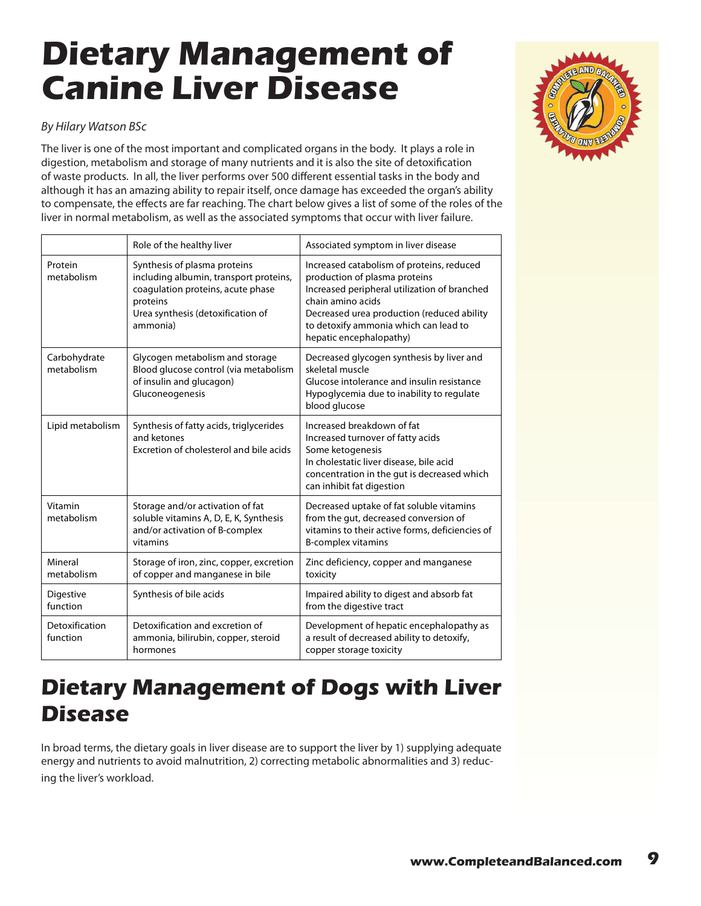# <span id="page-8-0"></span>**Dietary Management of Canine Liver Disease**

#### *By Hilary Watson BSc*

The liver is one of the most important and complicated organs in the body. It plays a role in digestion, metabolism and storage of many nutrients and it is also the site of detoxification of waste products. In all, the liver performs over 500 different essential tasks in the body and although it has an amazing ability to repair itself, once damage has exceeded the organ's ability to compensate, the effects are far reaching. The chart below gives a list of some of the roles of the liver in normal metabolism, as well as the associated symptoms that occur with liver failure.

|                                                                                                                  | Role of the healthy liver                                                                                                                                                                                                                                                                           | Associated symptom in liver disease                                                                                                                                                                                                                               |
|------------------------------------------------------------------------------------------------------------------|-----------------------------------------------------------------------------------------------------------------------------------------------------------------------------------------------------------------------------------------------------------------------------------------------------|-------------------------------------------------------------------------------------------------------------------------------------------------------------------------------------------------------------------------------------------------------------------|
| Protein<br>metabolism                                                                                            | Synthesis of plasma proteins<br>including albumin, transport proteins,<br>coagulation proteins, acute phase<br>proteins<br>Urea synthesis (detoxification of<br>ammonia)                                                                                                                            | Increased catabolism of proteins, reduced<br>production of plasma proteins<br>Increased peripheral utilization of branched<br>chain amino acids<br>Decreased urea production (reduced ability<br>to detoxify ammonia which can lead to<br>hepatic encephalopathy) |
| Carbohydrate<br>metabolism                                                                                       | Glycogen metabolism and storage<br>Decreased glycogen synthesis by liver and<br>Blood glucose control (via metabolism<br>skeletal muscle<br>of insulin and glucagon)<br>Glucose intolerance and insulin resistance<br>Gluconeogenesis<br>Hypoglycemia due to inability to regulate<br>blood glucose |                                                                                                                                                                                                                                                                   |
| Lipid metabolism                                                                                                 | Synthesis of fatty acids, triglycerides<br>and ketones<br>Excretion of cholesterol and bile acids                                                                                                                                                                                                   | Increased breakdown of fat<br>Increased turnover of fatty acids<br>Some ketogenesis<br>In cholestatic liver disease, bile acid<br>concentration in the gut is decreased which<br>can inhibit fat digestion                                                        |
| Vitamin<br>metabolism                                                                                            | Storage and/or activation of fat<br>soluble vitamins A, D, E, K, Synthesis<br>and/or activation of B-complex<br>vitamins                                                                                                                                                                            | Decreased uptake of fat soluble vitamins<br>from the gut, decreased conversion of<br>vitamins to their active forms, deficiencies of<br>B-complex vitamins                                                                                                        |
| Mineral<br>metabolism                                                                                            | Storage of iron, zinc, copper, excretion<br>of copper and manganese in bile                                                                                                                                                                                                                         | Zinc deficiency, copper and manganese<br>toxicity                                                                                                                                                                                                                 |
| Digestive<br>function                                                                                            | Synthesis of bile acids                                                                                                                                                                                                                                                                             | Impaired ability to digest and absorb fat<br>from the digestive tract                                                                                                                                                                                             |
| Detoxification and excretion of<br>Detoxification<br>function<br>ammonia, bilirubin, copper, steroid<br>hormones |                                                                                                                                                                                                                                                                                                     | Development of hepatic encephalopathy as<br>a result of decreased ability to detoxify,<br>copper storage toxicity                                                                                                                                                 |

#### **Dietary Management of Dogs with Liver Disease**

In broad terms, the dietary goals in liver disease are to support the liver by 1) supplying adequate energy and nutrients to avoid malnutrition, 2) correcting metabolic abnormalities and 3) reducing the liver's workload.

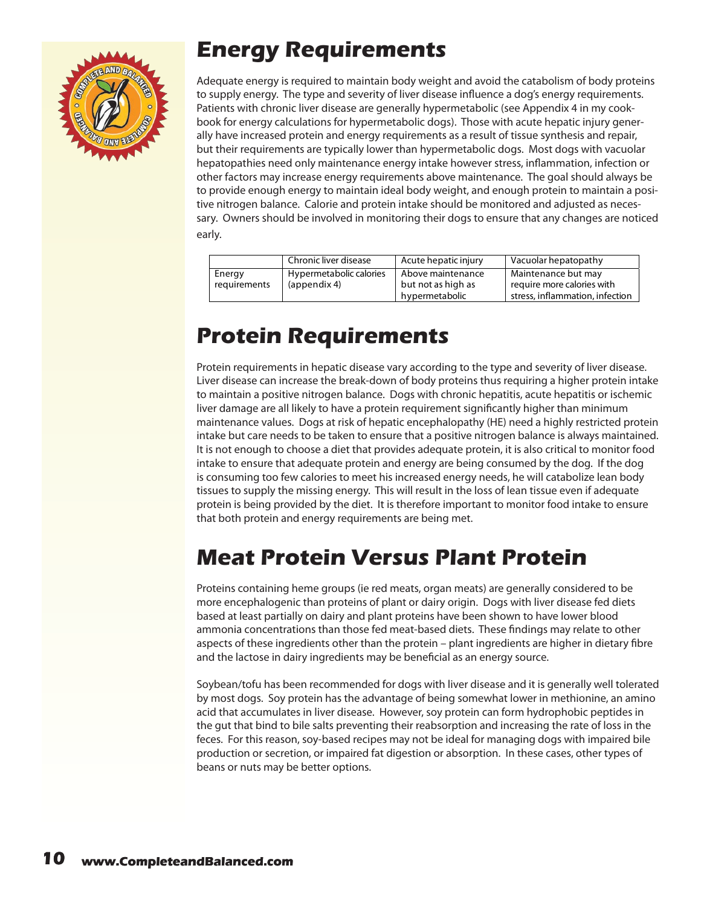

## **Energy Requirements**

Adequate energy is required to maintain body weight and avoid the catabolism of body proteins to supply energy. The type and severity of liver disease influence a dog's energy requirements. Patients with chronic liver disease are generally hypermetabolic (see Appendix 4 in my cookbook for energy calculations for hypermetabolic dogs). Those with acute hepatic injury generally have increased protein and energy requirements as a result of tissue synthesis and repair, but their requirements are typically lower than hypermetabolic dogs. Most dogs with vacuolar hepatopathies need only maintenance energy intake however stress, inflammation, infection or other factors may increase energy requirements above maintenance. The goal should always be to provide enough energy to maintain ideal body weight, and enough protein to maintain a positive nitrogen balance. Calorie and protein intake should be monitored and adjusted as necessary. Owners should be involved in monitoring their dogs to ensure that any changes are noticed early.

|                        | Chronic liver disease                   | Acute hepatic injury                    | Vacuolar hepatopathy                              |
|------------------------|-----------------------------------------|-----------------------------------------|---------------------------------------------------|
| Energy<br>requirements | Hypermetabolic calories<br>(appendix 4) | Above maintenance<br>but not as high as | Maintenance but may<br>require more calories with |
|                        |                                         | hypermetabolic                          | stress, inflammation, infection                   |

#### **Protein Requirements**

Protein requirements in hepatic disease vary according to the type and severity of liver disease. Liver disease can increase the break-down of body proteins thus requiring a higher protein intake to maintain a positive nitrogen balance. Dogs with chronic hepatitis, acute hepatitis or ischemic liver damage are all likely to have a protein requirement significantly higher than minimum maintenance values. Dogs at risk of hepatic encephalopathy (HE) need a highly restricted protein intake but care needs to be taken to ensure that a positive nitrogen balance is always maintained. It is not enough to choose a diet that provides adequate protein, it is also critical to monitor food intake to ensure that adequate protein and energy are being consumed by the dog. If the dog is consuming too few calories to meet his increased energy needs, he will catabolize lean body tissues to supply the missing energy. This will result in the loss of lean tissue even if adequate protein is being provided by the diet. It is therefore important to monitor food intake to ensure that both protein and energy requirements are being met.

#### **Meat Protein Versus Plant Protein**

Proteins containing heme groups (ie red meats, organ meats) are generally considered to be more encephalogenic than proteins of plant or dairy origin. Dogs with liver disease fed diets based at least partially on dairy and plant proteins have been shown to have lower blood ammonia concentrations than those fed meat-based diets. These findings may relate to other aspects of these ingredients other than the protein – plant ingredients are higher in dietary fibre and the lactose in dairy ingredients may be beneficial as an energy source.

Soybean/tofu has been recommended for dogs with liver disease and it is generally well tolerated by most dogs. Soy protein has the advantage of being somewhat lower in methionine, an amino acid that accumulates in liver disease. However, soy protein can form hydrophobic peptides in the gut that bind to bile salts preventing their reabsorption and increasing the rate of loss in the feces. For this reason, soy-based recipes may not be ideal for managing dogs with impaired bile production or secretion, or impaired fat digestion or absorption. In these cases, other types of beans or nuts may be better options.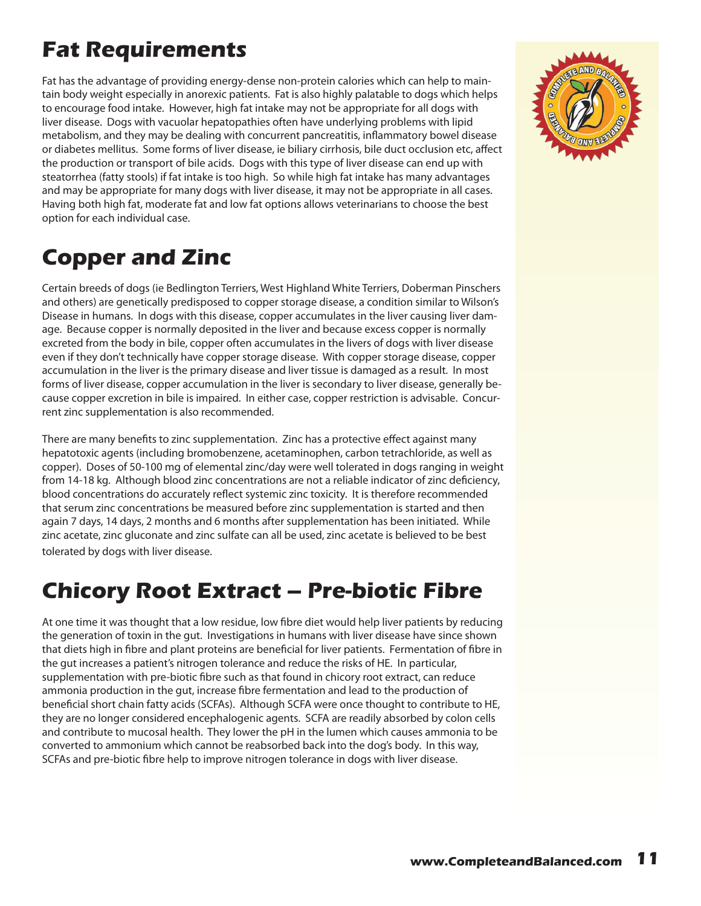# **Fat Requirements**

Fat has the advantage of providing energy-dense non-protein calories which can help to maintain body weight especially in anorexic patients. Fat is also highly palatable to dogs which helps to encourage food intake. However, high fat intake may not be appropriate for all dogs with liver disease. Dogs with vacuolar hepatopathies often have underlying problems with lipid metabolism, and they may be dealing with concurrent pancreatitis, inflammatory bowel disease or diabetes mellitus. Some forms of liver disease, ie biliary cirrhosis, bile duct occlusion etc, affect the production or transport of bile acids. Dogs with this type of liver disease can end up with steatorrhea (fatty stools) if fat intake is too high. So while high fat intake has many advantages and may be appropriate for many dogs with liver disease, it may not be appropriate in all cases. Having both high fat, moderate fat and low fat options allows veterinarians to choose the best option for each individual case.

### **Copper and Zinc**

Certain breeds of dogs (ie Bedlington Terriers, West Highland White Terriers, Doberman Pinschers and others) are genetically predisposed to copper storage disease, a condition similar to Wilson's Disease in humans. In dogs with this disease, copper accumulates in the liver causing liver damage. Because copper is normally deposited in the liver and because excess copper is normally excreted from the body in bile, copper often accumulates in the livers of dogs with liver disease even if they don't technically have copper storage disease. With copper storage disease, copper accumulation in the liver is the primary disease and liver tissue is damaged as a result. In most forms of liver disease, copper accumulation in the liver is secondary to liver disease, generally because copper excretion in bile is impaired. In either case, copper restriction is advisable. Concurrent zinc supplementation is also recommended.

There are many benefits to zinc supplementation. Zinc has a protective effect against many hepatotoxic agents (including bromobenzene, acetaminophen, carbon tetrachloride, as well as copper). Doses of 50-100 mg of elemental zinc/day were well tolerated in dogs ranging in weight from 14-18 kg. Although blood zinc concentrations are not a reliable indicator of zinc deficiency, blood concentrations do accurately reflect systemic zinc toxicity. It is therefore recommended that serum zinc concentrations be measured before zinc supplementation is started and then again 7 days, 14 days, 2 months and 6 months after supplementation has been initiated. While zinc acetate, zinc gluconate and zinc sulfate can all be used, zinc acetate is believed to be best tolerated by dogs with liver disease.

#### **Chicory Root Extract – Pre-biotic Fibre**

At one time it was thought that a low residue, low fibre diet would help liver patients by reducing the generation of toxin in the gut. Investigations in humans with liver disease have since shown that diets high in fibre and plant proteins are beneficial for liver patients. Fermentation of fibre in the gut increases a patient's nitrogen tolerance and reduce the risks of HE. In particular, supplementation with pre-biotic fibre such as that found in chicory root extract, can reduce ammonia production in the gut, increase fibre fermentation and lead to the production of beneficial short chain fatty acids (SCFAs). Although SCFA were once thought to contribute to HE, they are no longer considered encephalogenic agents. SCFA are readily absorbed by colon cells and contribute to mucosal health. They lower the pH in the lumen which causes ammonia to be converted to ammonium which cannot be reabsorbed back into the dog's body. In this way, SCFAs and pre-biotic fibre help to improve nitrogen tolerance in dogs with liver disease.

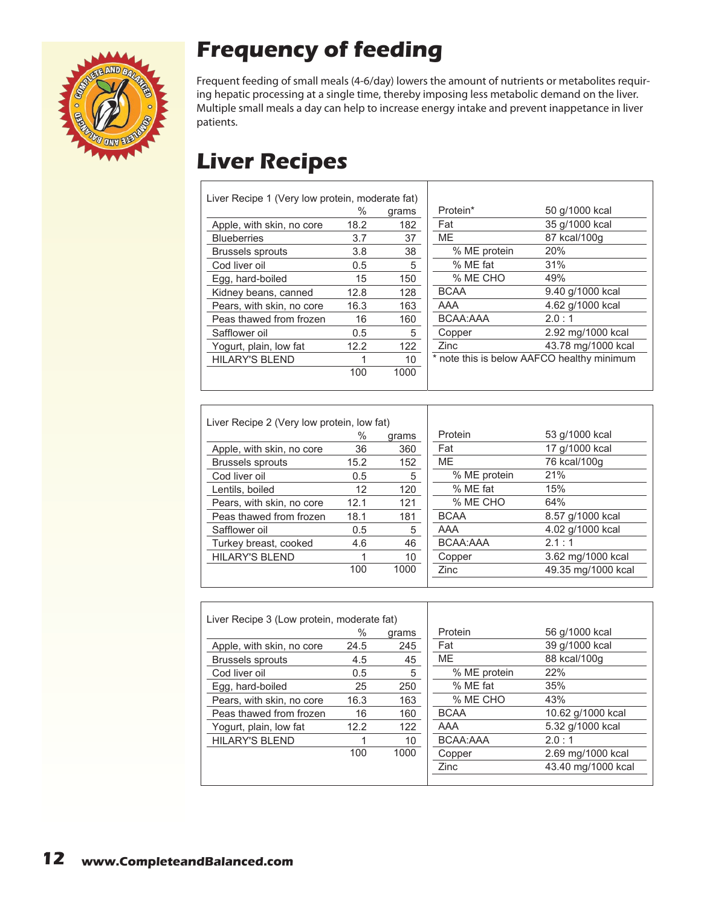

# **Frequency of feeding**

Frequent feeding of small meals (4-6/day) lowers the amount of nutrients or metabolites requiring hepatic processing at a single time, thereby imposing less metabolic demand on the liver. Multiple small meals a day can help to increase energy intake and prevent inappetance in liver patients.

### **Liver Recipes**

 $\Gamma$ 

| Liver Recipe 1 (Very low protein, moderate fat) |      |       |     |
|-------------------------------------------------|------|-------|-----|
|                                                 | $\%$ | grams | Pr  |
| Apple, with skin, no core                       | 18.2 | 182   | Fa  |
| <b>Blueberries</b>                              | 3.7  | 37    | ME  |
| <b>Brussels sprouts</b>                         | 3.8  | 38    |     |
| Cod liver oil                                   | 0.5  | 5     |     |
| Egg, hard-boiled                                | 15   | 150   |     |
| Kidney beans, canned                            | 12.8 | 128   | BC  |
| Pears, with skin, no core                       | 16.3 | 163   | A۵  |
| Peas thawed from frozen                         | 16   | 160   | BC  |
| Safflower oil                                   | 0.5  | 5.    | Сc  |
| Yogurt, plain, low fat                          | 12.2 | 122   | Zir |
| <b>HILARY'S BLEND</b>                           |      | 10    | no  |
|                                                 | 100  | 1000  |     |
|                                                 |      |       |     |

| Protein*     | 50 g/1000 kcal                             |
|--------------|--------------------------------------------|
| Fat          | 35 g/1000 kcal                             |
| ME           | 87 kcal/100g                               |
| % ME protein | 20%                                        |
| % ME fat     | 31%                                        |
| % ME CHO     | 49%                                        |
| <b>BCAA</b>  | 9.40 g/1000 kcal                           |
| AAA          | 4.62 g/1000 kcal                           |
| BCAA:AAA     | 2.0:1                                      |
| Copper       | 2.92 mg/1000 kcal                          |
| Zinc         | 43.78 mg/1000 kcal                         |
|              | * note this is below AAFCO healthy minimum |
|              |                                            |
|              |                                            |

| Liver Recipe 2 (Very low protein, low fat) |      |       |  |
|--------------------------------------------|------|-------|--|
|                                            | %    | grams |  |
| Apple, with skin, no core                  | 36   | 360   |  |
| <b>Brussels sprouts</b>                    | 15.2 | 152   |  |
| Cod liver oil                              | 0.5  | 5     |  |
| Lentils, boiled                            | 12   | 120   |  |
| Pears, with skin, no core                  | 12.1 | 121   |  |
| Peas thawed from frozen                    | 18.1 | 181   |  |
| Safflower oil                              | 0.5  | 5     |  |
| Turkey breast, cooked                      | 4.6  | 46    |  |
| <b>HILARY'S BLEND</b>                      |      | 10    |  |
|                                            | 100  | 1000  |  |
|                                            |      |       |  |

| Protein      | 53 g/1000 kcal     |
|--------------|--------------------|
| Fat          | 17 g/1000 kcal     |
| MЕ           | 76 kcal/100g       |
| % ME protein | 21%                |
| % ME fat     | 15%                |
| % ME CHO     | 64%                |
| <b>BCAA</b>  | 8.57 g/1000 kcal   |
| AAA          | 4.02 g/1000 kcal   |
| BCAA:AAA     | 2.1:1              |
| Copper       | 3.62 mg/1000 kcal  |
| Zinc         | 49.35 mg/1000 kcal |
|              |                    |

| Liver Recipe 3 (Low protein, moderate fat) |      |       |    |
|--------------------------------------------|------|-------|----|
|                                            | %    | grams | Р  |
| Apple, with skin, no core                  | 24.5 | 245   | F. |
| <b>Brussels sprouts</b>                    | 4.5  | 45    | M  |
| Cod liver oil                              | 0.5  | 5     |    |
| Egg, hard-boiled                           | 25   | 250   |    |
| Pears, with skin, no core                  | 16.3 | 163   |    |
| Peas thawed from frozen                    | 16   | 160   | B  |
| Yogurt, plain, low fat                     | 12.2 | 122   | Α  |
| <b>HILARY'S BLEND</b>                      |      | 10    | B  |
|                                            | 100  | 1000  | C  |
|                                            |      |       | 7  |

| Protein      | 56 g/1000 kcal     |
|--------------|--------------------|
| Fat          | 39 g/1000 kcal     |
| ME           | 88 kcal/100g       |
| % ME protein | 22%                |
| % ME fat     | 35%                |
| % ME CHO     | 43%                |
| <b>BCAA</b>  | 10.62 g/1000 kcal  |
| AAA          | 5.32 g/1000 kcal   |
| BCAA:AAA     | 2.0:1              |
| Copper       | 2.69 mg/1000 kcal  |
| Zinc         | 43.40 mg/1000 kcal |
|              |                    |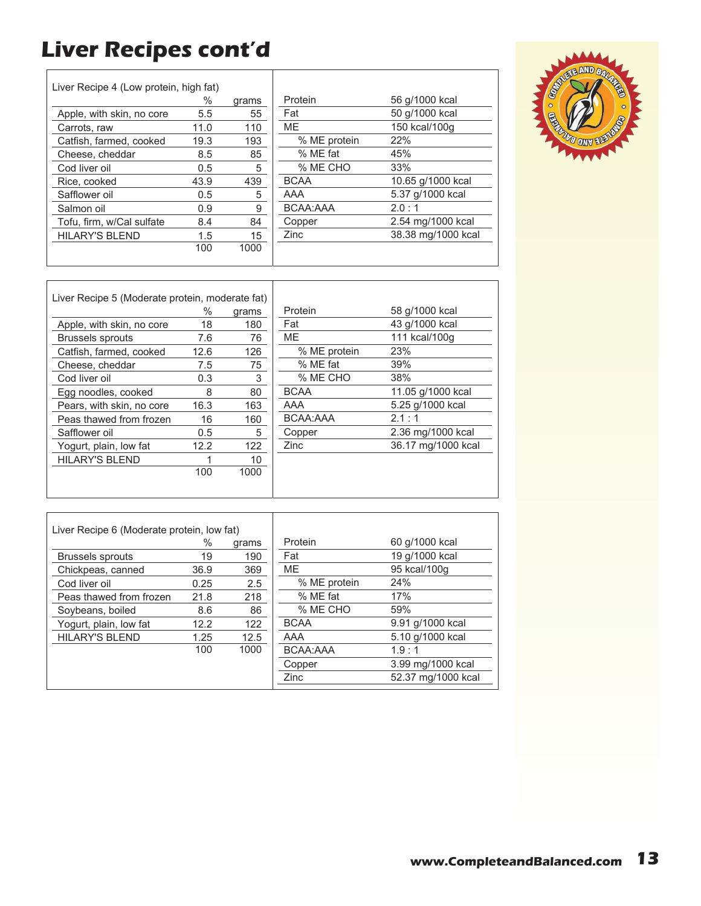# **Liver Recipes cont'd**

 $\Gamma$ 

| Liver Recipe 4 (Low protein, high fat) |      |       |
|----------------------------------------|------|-------|
|                                        | %    | grams |
| Apple, with skin, no core              | 5.5  | 55    |
| Carrots, raw                           | 11.0 | 110   |
| Catfish, farmed, cooked                | 19.3 | 193   |
| Cheese, cheddar                        | 8.5  | 85    |
| Cod liver oil                          | 0.5  | 5     |
| Rice, cooked                           | 43.9 | 439   |
| Safflower oil                          | 0.5  | 5     |
| Salmon oil                             | 0.9  | 9     |
| Tofu, firm, w/Cal sulfate              | 8.4  | 84    |
| HILARY'S BLEND                         | 1.5  | 15    |
|                                        | 100  | 1000  |
|                                        |      |       |

| Protein      | 56 g/1000 kcal     |
|--------------|--------------------|
| Fat          | 50 g/1000 kcal     |
| MЕ           | 150 kcal/100g      |
| % ME protein | 22%                |
| % ME fat     | 45%                |
| % ME CHO     | 33%                |
| <b>BCAA</b>  | 10.65 g/1000 kcal  |
| AAA          | 5.37 g/1000 kcal   |
| BCAA:AAA     | 2.0:1              |
| Copper       | 2.54 mg/1000 kcal  |
| Zinc         | 38.38 mg/1000 kcal |
|              |                    |



| Liver Recipe 5 (Moderate protein, moderate fat) |               |       |              |                    |
|-------------------------------------------------|---------------|-------|--------------|--------------------|
|                                                 | ℅             | grams | Protein      | 58 g/1000 kcal     |
| Apple, with skin, no core                       | 18            | 180   | Fat          | 43 g/1000 kcal     |
| <b>Brussels sprouts</b>                         | 7.6           | 76    | ME.          | 111 kcal/100q      |
| Catfish, farmed, cooked                         | 12.6          | 126   | % ME protein | 23%                |
| Cheese, cheddar                                 | 7.5           | 75    | % ME fat     | 39%                |
| Cod liver oil                                   | 0.3           | 3     | % ME CHO     | 38%                |
| Egg noodles, cooked                             | 8             | 80    | <b>BCAA</b>  | 11.05 g/1000 kcal  |
| Pears, with skin, no core                       | 16.3          | 163   | AAA          | 5.25 g/1000 kcal   |
| Peas thawed from frozen                         | 16            | 160   | BCAA:AAA     | 2.1:1              |
| Safflower oil                                   | $0.5^{\circ}$ | 5     | Copper       | 2.36 mg/1000 kcal  |
| Yogurt, plain, low fat                          | 12.2          | 122   | Zinc         | 36.17 mg/1000 kcal |
| <b>HILARY'S BLEND</b>                           |               | 10    |              |                    |
|                                                 | 100           | 1000  |              |                    |
|                                                 |               |       |              |                    |

| Liver Recipe 6 (Moderate protein, low fat) |      |       |              |                    |
|--------------------------------------------|------|-------|--------------|--------------------|
|                                            | %    | grams | Protein      | 60 g/1000 kcal     |
| <b>Brussels sprouts</b>                    | 19   | 190   | Fat          | 19 g/1000 kcal     |
| Chickpeas, canned                          | 36.9 | 369   | <b>ME</b>    | 95 kcal/100g       |
| Cod liver oil                              | 0.25 | 2.5   | % ME protein | 24%                |
| Peas thawed from frozen                    | 21.8 | 218   | % ME fat     | 17%                |
| Soybeans, boiled                           | 8.6  | 86    | % ME CHO     | 59%                |
| Yogurt, plain, low fat                     | 12.2 | 122   | <b>BCAA</b>  | 9.91 g/1000 kcal   |
| <b>HILARY'S BLEND</b>                      | 1.25 | 12.5  | AAA          | 5.10 g/1000 kcal   |
|                                            | 100  | 1000  | BCAA:AAA     | 1.9:1              |
|                                            |      |       | Copper       | 3.99 mg/1000 kcal  |
|                                            |      |       | Zinc         | 52.37 mg/1000 kcal |
|                                            |      |       |              |                    |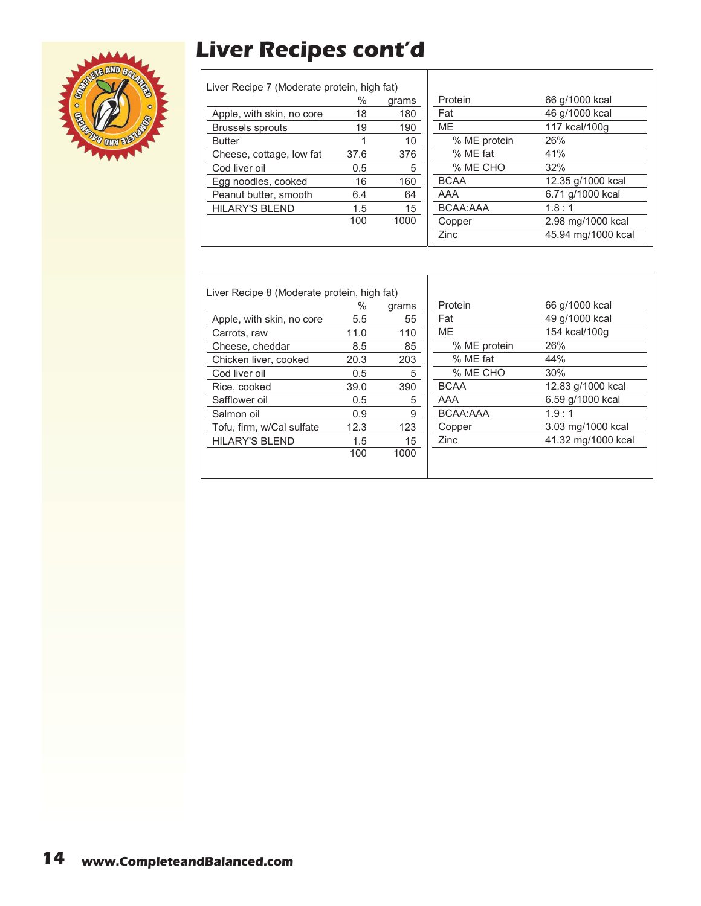# **Liver Recipes cont'd**



| Liver Recipe 7 (Moderate protein, high fat) |      |       |
|---------------------------------------------|------|-------|
|                                             | %    | grams |
| Apple, with skin, no core                   | 18   | 180   |
| <b>Brussels sprouts</b>                     | 19   | 190   |
| <b>Butter</b>                               | 1    | 10    |
| Cheese, cottage, low fat                    | 37.6 | 376   |
| Cod liver oil                               | 0.5  | 5     |
| Egg noodles, cooked                         | 16   | 160   |
| Peanut butter, smooth                       | 6.4  | 64    |
| <b>HILARY'S BLEND</b>                       | 1.5  | 15    |
|                                             | 100  | 1000  |
|                                             |      |       |

| Protein      | 66 g/1000 kcal     |
|--------------|--------------------|
| Fat          | 46 g/1000 kcal     |
| ME           | 117 kcal/100g      |
| % ME protein | 26%                |
| % ME fat     | 41%                |
| % ME CHO     | 32%                |
| <b>BCAA</b>  | 12.35 g/1000 kcal  |
| AAA          | 6.71 g/1000 kcal   |
| BCAA:AAA     | 1.8:1              |
| Copper       | 2.98 mg/1000 kcal  |
| Zinc         | 45.94 mg/1000 kcal |
|              |                    |

| Liver Recipe 8 (Moderate protein, high fat) |      |       |              |                    |
|---------------------------------------------|------|-------|--------------|--------------------|
|                                             | ℅    | grams | Protein      | 66 g/1000 kcal     |
| Apple, with skin, no core                   | 5.5  | 55    | Fat          | 49 g/1000 kcal     |
| Carrots, raw                                | 11.0 | 110   | <b>ME</b>    | 154 kcal/100q      |
| Cheese, cheddar                             | 8.5  | 85    | % ME protein | 26%                |
| Chicken liver, cooked                       | 20.3 | 203   | % ME fat     | 44%                |
| Cod liver oil                               | 0.5  | 5     | % ME CHO     | 30%                |
| Rice, cooked                                | 39.0 | 390   | <b>BCAA</b>  | 12.83 g/1000 kcal  |
| Safflower oil                               | 0.5  | 5     | AAA          | 6.59 g/1000 kcal   |
| Salmon oil                                  | 0.9  | 9     | BCAA:AAA     | 1.9:1              |
| Tofu, firm, w/Cal sulfate                   | 12.3 | 123   | Copper       | 3.03 mg/1000 kcal  |
| <b>HILARY'S BLEND</b>                       | 1.5  | 15    | Zinc         | 41.32 mg/1000 kcal |
|                                             | 100  | 1000  |              |                    |
|                                             |      |       |              |                    |

Т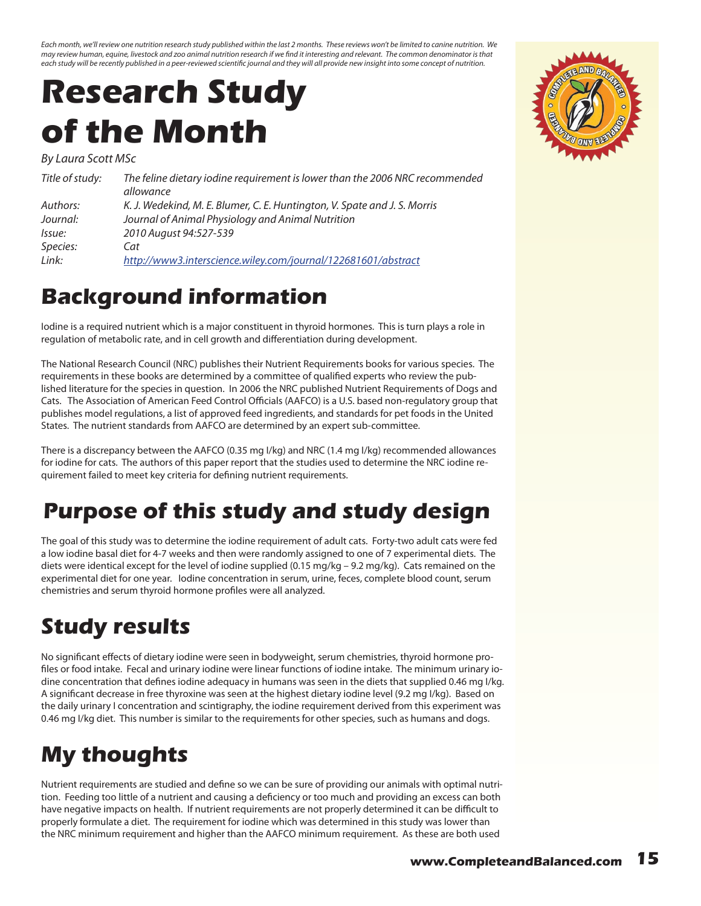<span id="page-14-0"></span>*Each month, we'll review one nutrition research study published within the last 2 months. These reviews won't be limited to canine nutrition. We may review human, equine, livestock and zoo animal nutrition research if we find it interesting and relevant. The common denominator is that each study will be recently published in a peer-reviewed scientific journal and they will all provide new insight into some concept of nutrition.*

# **Research Study of the Month**

*By Laura Scott MSc*

| Title of study: | The feline dietary iodine requirement is lower than the 2006 NRC recommended<br>allowance |
|-----------------|-------------------------------------------------------------------------------------------|
| Authors:        | K. J. Wedekind, M. E. Blumer, C. E. Huntington, V. Spate and J. S. Morris                 |
| Journal:        | Journal of Animal Physiology and Animal Nutrition                                         |
| lssue:          | 2010 August 94:527-539                                                                    |
| Species:        | Cat                                                                                       |
| Link:           | http://www3.interscience.wiley.com/journal/122681601/abstract                             |

#### **Background information**

Iodine is a required nutrient which is a major constituent in thyroid hormones. This is turn plays a role in regulation of metabolic rate, and in cell growth and differentiation during development.

The National Research Council (NRC) publishes their Nutrient Requirements books for various species. The requirements in these books are determined by a committee of qualified experts who review the published literature for the species in question. In 2006 the NRC published Nutrient Requirements of Dogs and Cats. The Association of American Feed Control Officials (AAFCO) is a U.S. based non-regulatory group that publishes model regulations, a list of approved feed ingredients, and standards for pet foods in the United States. The nutrient standards from AAFCO are determined by an expert sub-committee.

There is a discrepancy between the AAFCO (0.35 mg I/kg) and NRC (1.4 mg I/kg) recommended allowances for iodine for cats. The authors of this paper report that the studies used to determine the NRC iodine requirement failed to meet key criteria for defining nutrient requirements.

### **Purpose of this study and study design**

The goal of this study was to determine the iodine requirement of adult cats. Forty-two adult cats were fed a low iodine basal diet for 4-7 weeks and then were randomly assigned to one of 7 experimental diets. The diets were identical except for the level of iodine supplied (0.15 mg/kg – 9.2 mg/kg). Cats remained on the experimental diet for one year. Iodine concentration in serum, urine, feces, complete blood count, serum chemistries and serum thyroid hormone profiles were all analyzed.

## **Study results**

No significant effects of dietary iodine were seen in bodyweight, serum chemistries, thyroid hormone profiles or food intake. Fecal and urinary iodine were linear functions of iodine intake. The minimum urinary iodine concentration that defines iodine adequacy in humans was seen in the diets that supplied 0.46 mg I/kg. A significant decrease in free thyroxine was seen at the highest dietary iodine level (9.2 mg I/kg). Based on the daily urinary I concentration and scintigraphy, the iodine requirement derived from this experiment was 0.46 mg I/kg diet. This number is similar to the requirements for other species, such as humans and dogs.

## **My thoughts**

Nutrient requirements are studied and define so we can be sure of providing our animals with optimal nutrition. Feeding too little of a nutrient and causing a deficiency or too much and providing an excess can both have negative impacts on health. If nutrient requirements are not properly determined it can be difficult to properly formulate a diet. The requirement for iodine which was determined in this study was lower than the NRC minimum requirement and higher than the AAFCO minimum requirement. As these are both used